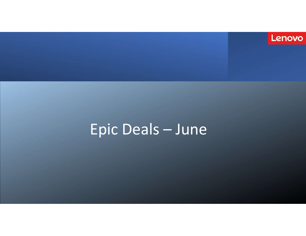

# Epic Deals - June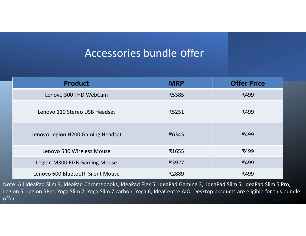## Accessories bundle offer

|                                   | Accessories bundle offer |                    |  |
|-----------------------------------|--------------------------|--------------------|--|
| <b>Product</b>                    | <b>MRP</b>               | <b>Offer Price</b> |  |
| Lenovo 300 FHD WebCam             | ₹5385                    | ₹499               |  |
| Lenovo 110 Stereo USB Headset     | ₹5251                    | ₹499               |  |
| Lenovo Legion H200 Gaming Headset | ₹6345                    | ₹499               |  |
| Lenovo 530 Wireless Mouse         | ₹1655                    | ₹499               |  |
| Legion M300 RGB Gaming Mouse      | ₹3927                    | ₹499               |  |
|                                   | ₹2889                    | ₹499               |  |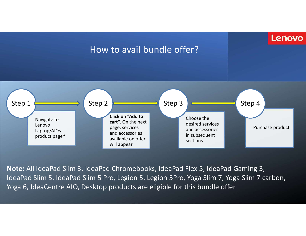### Lenovo

### How to avail bundle offer?



Note: All IdeaPad Slim 3, IdeaPad Chromebooks, IdeaPad Flex 5, IdeaPad Gaming 3, IdeaPad Slim 5, IdeaPad Slim 5 Pro, Legion 5, Legion 5Pro, Yoga Slim 7, Yoga Slim 7 carbon, Yoga 6, IdeaCentre AIO, Desktop products are eligible for this bundle offer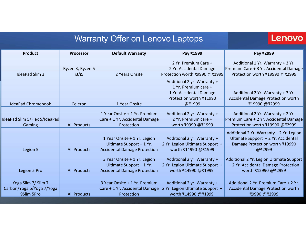|                                         |                           | <b>Warranty Offer on Lenovo Laptops</b>                         |                                                                | Lenovo                                                                             |
|-----------------------------------------|---------------------------|-----------------------------------------------------------------|----------------------------------------------------------------|------------------------------------------------------------------------------------|
| <b>Product</b>                          |                           |                                                                 |                                                                |                                                                                    |
|                                         | <b>Processor</b>          | <b>Default Warranty</b>                                         | Pay ₹1999<br>2 Yr. Premium Care +                              | Pay ₹2999<br>Additional 1 Yr. Warranty + 3 Yr.                                     |
| <b>IdeaPad Slim 3</b>                   | Ryzen 3, Ryzen 5<br>i3/i5 | 2 Years Onsite                                                  | 2 Yr. Accidental Damage<br>Protection worth ₹9990 @₹1999       | Premium Care + 3 Yr. Accidental Damage<br>Protection worth ₹19990 @₹2999           |
|                                         |                           |                                                                 | Additional 2 yr. Warranty +                                    |                                                                                    |
|                                         |                           |                                                                 | 1 Yr. Premium care +<br>1 Yr. Accidental Damage                | Additional 2 Yr. Warranty + 3 Yr.                                                  |
| <b>IdeaPad Chromebook</b>               | Celeron                   | 1 Year Onsite                                                   | Protection worth ₹11990<br>@₹1999                              | <b>Accidental Damage Protection worth</b><br>₹19990 @₹2999                         |
|                                         |                           | 1 Year Onsite + 1 Yr. Premium                                   | Additional 2 yr. Warranty +                                    | Additional 2 Yr. Warranty + 2 Yr.                                                  |
| IdeaPad Slim 5/Flex 5/IdeaPad<br>Gaming | <b>All Products</b>       | Care + 1 Yr. Accidental Damage<br>Protection                    | 2 Yr. Premium care +<br>worth ₹9990 @₹1999                     | Premium Care + 2 Yr. Accidental Damage<br>Protection worth ₹19990 @₹2999           |
|                                         |                           |                                                                 |                                                                | Additional 2 Yr. Warranty + 2 Yr. Legion                                           |
|                                         |                           | 1 Year Onsite + 1 Yr. Legion<br>Ultimate Support + 1 Yr.        | Additional 2 yr. Warranty +<br>2 Yr. Legion Ultimate Support + | Ultimate Support + 2 Yr. Accidental<br>Damage Protection worth ₹19990              |
| Legion 5                                | <b>All Products</b>       | <b>Accidental Damage Protection</b>                             | worth ₹14990 @₹1999                                            | @₹2999                                                                             |
|                                         |                           | 3 Year Onsite + 1 Yr. Legion<br>Ultimate Support + 1 Yr.        | Additional 2 yr. Warranty +<br>2 Yr. Legion Ultimate Support + | Additional 2 Yr. Legion Ultimate Support<br>+ 2 Yr. Accidental Damage Protection   |
| Legion 5 Pro                            | <b>All Products</b>       | <b>Accidental Damage Protection</b>                             | worth ₹14990 @₹1999                                            | worth ₹12990 @₹2999                                                                |
| Yoga Slim 7/ Slim 7                     |                           | 3 Year Onsite + 1 Yr. Premium<br>Care + 1 Yr. Accidental Damage | Additional 2 yr. Warranty +<br>2 Yr. Legion Ultimate Support + | Additional 2 Yr. Premium Care + 2 Yr.<br><b>Accidental Damage Protection worth</b> |
| Carbon/Yoga 6/Yoga 7/Yoga               | <b>All Products</b>       | Protection                                                      | worth ₹14990 @₹1999                                            | ₹9990 @₹2999                                                                       |